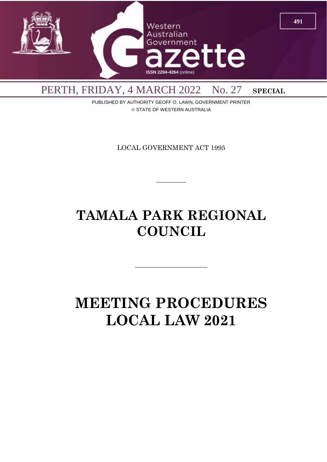

PUBLISHED BY AUTHORITY GEOFF O. LAWN, GOVERNMENT PRINTER © STATE OF WESTERN AUSTRALIA

LOCAL GOVERNMENT ACT 1995

 $\overline{\phantom{a}}$ 

# **TAMALA PARK REGIONAL COUNCIL**

# **MEETING PROCEDURES LOCAL LAW 2021**

 $\overline{\phantom{a}}$  , and the contract of  $\overline{\phantom{a}}$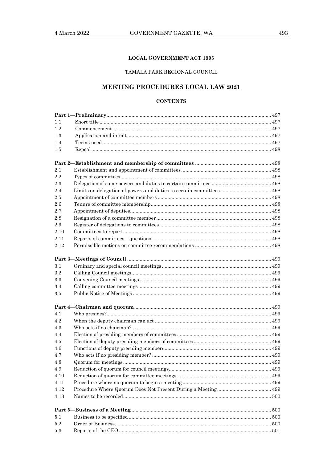# **LOCAL GOVERNMENT ACT 1995**

# TAMALA PARK REGIONAL COUNCIL

# MEETING PROCEDURES LOCAL LAW 2021

# **CONTENTS**

| 1.1<br>1.2<br>1.3<br>1.4<br>$1.5\,$<br>$2.1\,$<br>2.2<br>2.3<br>2.4<br>2.5<br>2.6<br>2.7<br>2.8<br>2.9<br>2.10<br>2.11<br>2.12<br>3.1<br>3.2<br>3.3<br>3.4<br>3.5<br>4.1<br>4.2<br>4.3<br>4.4<br>4.5<br>4.6<br>4.7<br>4.8<br>4.9<br>4.10<br>4.11<br>4.12<br>4.13<br>5.1<br>5.2<br>5.3 |  |  |
|---------------------------------------------------------------------------------------------------------------------------------------------------------------------------------------------------------------------------------------------------------------------------------------|--|--|
|                                                                                                                                                                                                                                                                                       |  |  |
|                                                                                                                                                                                                                                                                                       |  |  |
|                                                                                                                                                                                                                                                                                       |  |  |
|                                                                                                                                                                                                                                                                                       |  |  |
|                                                                                                                                                                                                                                                                                       |  |  |
|                                                                                                                                                                                                                                                                                       |  |  |
|                                                                                                                                                                                                                                                                                       |  |  |
|                                                                                                                                                                                                                                                                                       |  |  |
|                                                                                                                                                                                                                                                                                       |  |  |
|                                                                                                                                                                                                                                                                                       |  |  |
|                                                                                                                                                                                                                                                                                       |  |  |
|                                                                                                                                                                                                                                                                                       |  |  |
|                                                                                                                                                                                                                                                                                       |  |  |
|                                                                                                                                                                                                                                                                                       |  |  |
|                                                                                                                                                                                                                                                                                       |  |  |
|                                                                                                                                                                                                                                                                                       |  |  |
|                                                                                                                                                                                                                                                                                       |  |  |
|                                                                                                                                                                                                                                                                                       |  |  |
|                                                                                                                                                                                                                                                                                       |  |  |
|                                                                                                                                                                                                                                                                                       |  |  |
|                                                                                                                                                                                                                                                                                       |  |  |
|                                                                                                                                                                                                                                                                                       |  |  |
|                                                                                                                                                                                                                                                                                       |  |  |
|                                                                                                                                                                                                                                                                                       |  |  |
|                                                                                                                                                                                                                                                                                       |  |  |
|                                                                                                                                                                                                                                                                                       |  |  |
|                                                                                                                                                                                                                                                                                       |  |  |
|                                                                                                                                                                                                                                                                                       |  |  |
|                                                                                                                                                                                                                                                                                       |  |  |
|                                                                                                                                                                                                                                                                                       |  |  |
|                                                                                                                                                                                                                                                                                       |  |  |
|                                                                                                                                                                                                                                                                                       |  |  |
|                                                                                                                                                                                                                                                                                       |  |  |
|                                                                                                                                                                                                                                                                                       |  |  |
|                                                                                                                                                                                                                                                                                       |  |  |
|                                                                                                                                                                                                                                                                                       |  |  |
|                                                                                                                                                                                                                                                                                       |  |  |
|                                                                                                                                                                                                                                                                                       |  |  |
|                                                                                                                                                                                                                                                                                       |  |  |
|                                                                                                                                                                                                                                                                                       |  |  |
|                                                                                                                                                                                                                                                                                       |  |  |
|                                                                                                                                                                                                                                                                                       |  |  |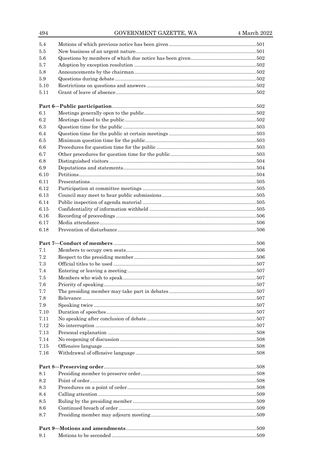| 494  | GOVERNMENT GAZETTE, WA | 4 March 2022 |
|------|------------------------|--------------|
| 5.4  |                        |              |
| 5.5  |                        |              |
| 5.6  |                        |              |
| 5.7  |                        |              |
| 5.8  |                        |              |
| 5.9  |                        |              |
| 5.10 |                        |              |
| 5.11 |                        |              |
|      |                        |              |
| 6.1  |                        |              |
| 6.2  |                        |              |
| 6.3  |                        |              |
| 6.4  |                        |              |
| 6.5  |                        |              |
| 6.6  |                        |              |
| 6.7  |                        |              |
| 6.8  |                        |              |
| 6.9  |                        |              |
| 6.10 |                        |              |
| 6.11 |                        |              |
| 6.12 |                        |              |
| 6.13 |                        |              |
| 6.14 |                        |              |
| 6.15 |                        |              |
| 6.16 |                        |              |
| 6.17 |                        |              |
| 6.18 |                        |              |
| 7.1  |                        |              |
| 7.2  |                        |              |
| 7.3  |                        |              |
| 7.4  |                        |              |
| 7.5  |                        |              |
| 7.6  |                        |              |
| 7.7  |                        |              |
| 7.8  |                        |              |
| 7.9  |                        |              |
| 7.10 |                        |              |
| 7.11 |                        |              |
| 7.12 |                        |              |
| 7.13 |                        |              |
| 7.14 |                        |              |
|      |                        |              |
| 7.15 |                        |              |
| 7.16 |                        |              |
|      |                        |              |
| 8.1  |                        |              |
| 8.2  |                        |              |
| 8.3  |                        |              |
| 8.4  |                        |              |
| 8.5  |                        |              |
| 8.6  |                        |              |
| 8.7  |                        |              |
|      |                        |              |
| 9.1  |                        |              |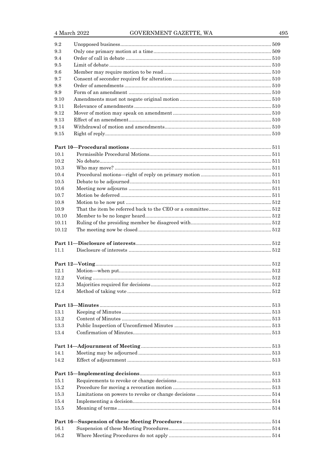| 9.2          |  |
|--------------|--|
| 9.3          |  |
| 9.4          |  |
| 9.5          |  |
| 9.6          |  |
| 9.7          |  |
| 9.8          |  |
| 9.9          |  |
| 9.10         |  |
| 9.11         |  |
| 9.12         |  |
| 9.13         |  |
| 9.14         |  |
| 9.15         |  |
|              |  |
|              |  |
| 10.1         |  |
| 10.2         |  |
| 10.3         |  |
| 10.4         |  |
| 10.5         |  |
| 10.6         |  |
| 10.7         |  |
| 10.8         |  |
| 10.9         |  |
| 10.10        |  |
| 10.11        |  |
| 10.12        |  |
|              |  |
|              |  |
| 11.1         |  |
|              |  |
|              |  |
| 12.1         |  |
| 12.2         |  |
| 12.3         |  |
| 12.4         |  |
|              |  |
|              |  |
| 13.1         |  |
| 13.2         |  |
| 13.3         |  |
| 13.4         |  |
|              |  |
|              |  |
| 14.1         |  |
| 14.2         |  |
|              |  |
|              |  |
| 15.1         |  |
| 15.2         |  |
| 15.3         |  |
| 15.4         |  |
| 15.5         |  |
|              |  |
|              |  |
|              |  |
|              |  |
| 16.1<br>16.2 |  |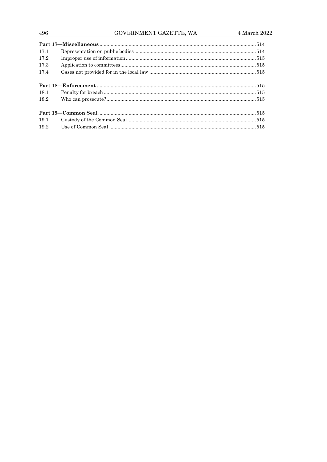# GOVERNMENT GAZETTE, WA

| 17.1 |  |  |
|------|--|--|
| 17.2 |  |  |
| 17.3 |  |  |
| 17.4 |  |  |
|      |  |  |
|      |  |  |
| 18.1 |  |  |
| 18.2 |  |  |
|      |  |  |
|      |  |  |
| 19.1 |  |  |
| 19.2 |  |  |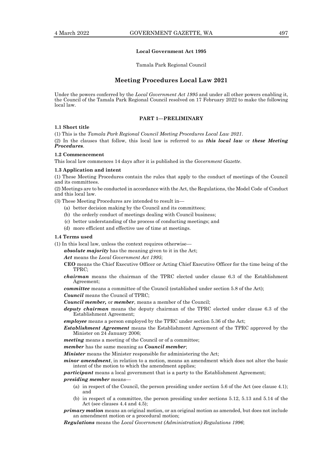#### **Local Government Act 1995**

Tamala Park Regional Council

# **Meeting Procedures Local Law 2021**

Under the powers conferred by the *Local Government Act 1995* and under all other powers enabling it, the Council of the Tamala Park Regional Council resolved on 17 February 2022 to make the following local law.

# **PART 1—PRELIMINARY**

#### **1.1 Short title**

(1) This is the *Tamala Park Regional Council Meeting Procedures Local Law 2021*.

(2) In the clauses that follow, this local law is referred to as *this local law* or *these Meeting Procedures*.

# **1.2 Commencement**

This local law commences 14 days after it is published in the *Government Gazette*.

#### **1.3 Application and intent**

(1) These Meeting Procedures contain the rules that apply to the conduct of meetings of the Council and its committees.

(2) Meetings are to be conducted in accordance with the Act, the Regulations, the Model Code of Conduct and this local law.

(3) These Meeting Procedures are intended to result in—

- (a) better decision making by the Council and its committees;
- (b) the orderly conduct of meetings dealing with Council business;
- (c) better understanding of the process of conducting meetings; and
- (d) more efficient and effective use of time at meetings.

# **1.4 Terms used**

(1) In this local law, unless the context requires otherwise—

*absolute majority* has the meaning given to it in the Act;

*Act* means the *Local Government Act 1995*;

- **CEO** means the Chief Executive Officer or Acting Chief Executive Officer for the time being of the TPRC;
- *chairman* means the chairman of the TPRC elected under clause 6.3 of the Establishment Agreement;

*committee* means a committee of the Council (established under section 5.8 of the Act);

*Council* means the Council of TPRC;

- *Council member,* or *member*, means a member of the Council;
- *deputy chairman* means the deputy chairman of the TPRC elected under clause 6.3 of the Establishment Agreement;

*employee* means a person employed by the TPRC under section 5.36 of the Act;

- *Establishment Agreement* means the Establishment Agreement of the TPRC approved by the Minister on 24 January 2006;
- *meeting* means a meeting of the Council or of a committee;
- *member* has the same meaning as *Council member*;

*Minister* means the Minister responsible for administering the Act;

*minor amendment*, in relation to a motion, means an amendment which does not alter the basic intent of the motion to which the amendment applies;

*participant* means a local government that is a party to the Establishment Agreement;

# *presiding member* means—

- (a) in respect of the Council, the person presiding under section 5.6 of the Act (see clause 4.1); and
- (b) in respect of a committee, the person presiding under sections 5.12, 5.13 and 5.14 of the Act (see clauses 4.4 and 4.5);

*primary motion* means an original motion, or an original motion as amended, but does not include an amendment motion or a procedural motion;

*Regulations* means the *Local Government (Administration) Regulations 1996*;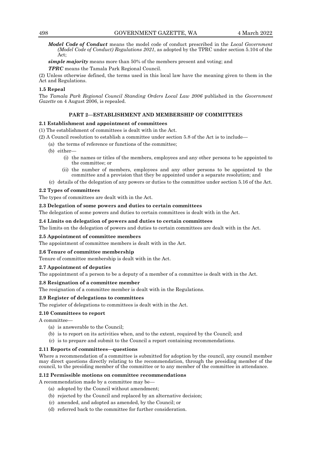*Model Code of Conduct* means the model code of conduct prescribed in the *Local Government (Model Code of Conduct) Regulations 2021*, as adopted by the TPRC under section 5.104 of the Act;

*simple majority* means more than 50% of the members present and voting; and

*TPRC* means the Tamala Park Regional Council.

(2) Unless otherwise defined, the terms used in this local law have the meaning given to them in the Act and Regulations.

# **1.5 Repeal**

The *Tamala Park Regional Council Standing Orders Local Law 2006* published in the *Government Gazette* on 4 August 2006, is repealed.

# **PART 2—ESTABLISHMENT AND MEMBERSHIP OF COMMITTEES**

# **2.1 Establishment and appointment of committees**

(1) The establishment of committees is dealt with in the Act.

(2) A Council resolution to establish a committee under section 5.8 of the Act is to include—

- (a) the terms of reference or functions of the committee;
	- (b) either—
		- (i) the names or titles of the members, employees and any other persons to be appointed to the committee; or
		- (ii) the number of members, employees and any other persons to be appointed to the committee and a provision that they be appointed under a separate resolution; and
	- (c) details of the delegation of any powers or duties to the committee under section 5.16 of the Act.

# **2.2 Types of committees**

The types of committees are dealt with in the Act.

# **2.3 Delegation of some powers and duties to certain committees**

The delegation of some powers and duties to certain committees is dealt with in the Act.

# **2.4 Limits on delegation of powers and duties to certain committees**

The limits on the delegation of powers and duties to certain committees are dealt with in the Act.

# **2.5 Appointment of committee members**

The appointment of committee members is dealt with in the Act.

# **2.6 Tenure of committee membership**

Tenure of committee membership is dealt with in the Act.

# **2.7 Appointment of deputies**

The appointment of a person to be a deputy of a member of a committee is dealt with in the Act.

# **2.8 Resignation of a committee member**

The resignation of a committee member is dealt with in the Regulations.

# **2.9 Register of delegations to committees**

The register of delegations to committees is dealt with in the Act.

# **2.10 Committees to report**

A committee—

- (a) is answerable to the Council;
- (b) is to report on its activities when, and to the extent, required by the Council; and
- (c) is to prepare and submit to the Council a report containing recommendations.

# **2.11 Reports of committees—questions**

Where a recommendation of a committee is submitted for adoption by the council, any council member may direct questions directly relating to the recommendation, through the presiding member of the council, to the presiding member of the committee or to any member of the committee in attendance.

# **2.12 Permissible motions on committee recommendations**

A recommendation made by a committee may be—

- (a) adopted by the Council without amendment;
- (b) rejected by the Council and replaced by an alternative decision;
- (c) amended, and adopted as amended, by the Council; or
- (d) referred back to the committee for further consideration.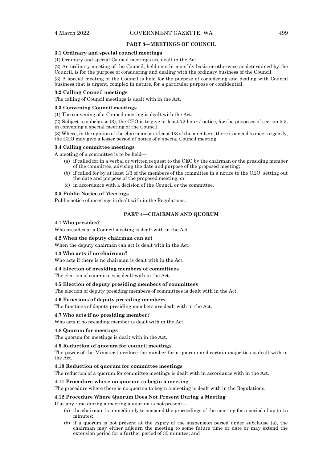#### **PART 3—MEETINGS OF COUNCIL**

#### **3.1 Ordinary and special council meetings**

(1) Ordinary and special Council meetings are dealt in the Act.

(2) An ordinary meeting of the Council, held on a bi-monthly basis or otherwise as determined by the Council, is for the purpose of considering and dealing with the ordinary business of the Council.

(3) A special meeting of the Council is held for the purpose of considering and dealing with Council business that is urgent, complex in nature, for a particular purpose or confidential.

#### **3.2 Calling Council meetings**

The calling of Council meetings is dealt with in the Act.

#### **3.3 Convening Council meetings**

(1) The convening of a Council meeting is dealt with the Act.

(2) Subject to subclause (3), the CEO is to give at least 72 hours' notice, for the purposes of section 5.5, in convening a special meeting of the Council.

(3) Where, in the opinion of the chairman or at least 1/3 of the members, there is a need to meet urgently, the CEO may give a lesser period of notice of a special Council meeting.

#### **3.4 Calling committee meetings**

A meeting of a committee is to be held—

- (a) if called for in a verbal or written request to the CEO by the chairman or the presiding member of the committee, advising the date and purpose of the proposed meeting;
- (b) if called for by at least 1/3 of the members of the committee in a notice to the CEO, setting out the date and purpose of the proposed meeting; or
- (c) in accordance with a decision of the Council or the committee.

#### **3.5 Public Notice of Meetings**

Public notice of meetings is dealt with in the Regulations.

# **PART 4—CHAIRMAN AND QUORUM**

#### **4.1 Who presides?**

Who presides at a Council meeting is dealt with in the Act.

#### **4.2 When the deputy chairman can act**

When the deputy chairman can act is dealt with in the Act.

#### **4.3 Who acts if no chairman?**

Who acts if there is no chairman is dealt with in the Act.

#### **4.4 Election of presiding members of committees**

The election of committees is dealt with in the Act.

#### **4.5 Election of deputy presiding members of committees**

The election of deputy presiding members of committees is dealt with in the Act.

#### **4.6 Functions of deputy presiding members**

The functions of deputy presiding members are dealt with in the Act.

#### **4.7 Who acts if no presiding member?**

Who acts if no presiding member is dealt with in the Act.

#### **4.8 Quorum for meetings**

The quorum for meetings is dealt with in the Act.

#### **4.9 Reduction of quorum for council meetings**

The power of the Minister to reduce the number for a quorum and certain majorities is dealt with in the Act.

# **4.10 Reduction of quorum for committee meetings**

The reduction of a quorum for committee meetings is dealt with in accordance with in the Act.

# **4.11 Procedure where no quorum to begin a meeting**

The procedure where there is no quorum to begin a meeting is dealt with in the Regulations.

## **4.12 Procedure Where Quorum Does Not Present During a Meeting**

If at any time during a meeting a quorum is not present—

- (a) the chairman is immediately to suspend the proceedings of the meeting for a period of up to 15 minutes;
- (b) if a quorum is not present at the expiry of the suspension period under subclause (a), the chairman may either adjourn the meeting to some future time or date or may extend the extension period for a further period of 30 minutes; and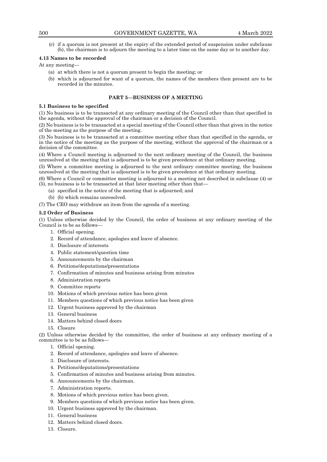(c) if a quorum is not present at the expiry of the extended period of suspension under subclause (b), the chairman is to adjourn the meeting to a later time on the same day or to another day.

# **4.13 Names to be recorded**

# At any meeting—

- (a) at which there is not a quorum present to begin the meeting; or
- (b) which is adjourned for want of a quorum, the names of the members then present are to be recorded in the minutes.

# **PART 5—BUSINESS OF A MEETING**

# **5.1 Business to be specified**

(1) No business is to be transacted at any ordinary meeting of the Council other than that specified in the agenda, without the approval of the chairman or a decision of the Council.

(2) No business is to be transacted at a special meeting of the Council other than that given in the notice of the meeting as the purpose of the meeting.

(3) No business is to be transacted at a committee meeting other than that specified in the agenda, or in the notice of the meeting as the purpose of the meeting, without the approval of the chairman or a decision of the committee.

(4) Where a Council meeting is adjourned to the next ordinary meeting of the Council, the business unresolved at the meeting that is adjourned is to be given precedence at that ordinary meeting.

(5) Where a committee meeting is adjourned to the next ordinary committee meeting, the business unresolved at the meeting that is adjourned is to be given precedence at that ordinary meeting.

(6) Where a Council or committee meeting is adjourned to a meeting not described in subclause (4) or (5), no business is to be transacted at that later meeting other than that—

- (a) specified in the notice of the meeting that is adjourned; and
- (b) (b) which remains unresolved.

(7) The CEO may withdraw an item from the agenda of a meeting.

### **5.2 Order of Business**

(1) Unless otherwise decided by the Council, the order of business at any ordinary meeting of the Council is to be as follows—

- 1. Official opening.
- 2. Record of attendance, apologies and leave of absence.
- 3. Disclosure of interests
- 4. Public statement/question time
- 5. Announcements by the chairman
- 6. Petitions/deputations/presentations
- 7. Confirmation of minutes and business arising from minutes
- 8. Administration reports
- 9. Committee reports
- 10. Motions of which previous notice has been given
- 11. Members questions of which previous notice has been given
- 12. Urgent business approved by the chairman
- 13. General business
- 14. Matters behind closed doors
- 15. Closure

(2) Unless otherwise decided by the committee, the order of business at any ordinary meeting of a committee is to be as follows—

- 1. Official opening.
- 2. Record of attendance, apologies and leave of absence.
- 3. Disclosure of interests.
- 4. Petitions/deputations/presentations
- 5. Confirmation of minutes and business arising from minutes.
- 6. Announcements by the chairman.
- 7. Administration reports.
- 8. Motions of which previous notice has been given.
- 9. Members questions of which previous notice has been given.
- 10. Urgent business approved by the chairman.
- 11. General business
- 12. Matters behind closed doors.
- 13. Closure.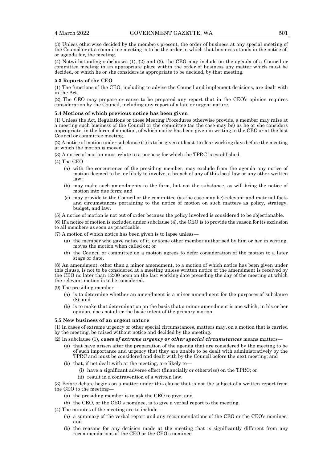(3) Unless otherwise decided by the members present, the order of business at any special meeting of the Council or at a committee meeting is to be the order in which that business stands in the notice of, or agenda for, the meeting.

(4) Notwithstanding subclauses (1), (2) and (3), the CEO may include on the agenda of a Council or committee meeting in an appropriate place within the order of business any matter which must be decided, or which he or she considers is appropriate to be decided, by that meeting.

#### **5.3 Reports of the CEO**

(1) The functions of the CEO, including to advise the Council and implement decisions, are dealt with in the Act.

(2) The CEO may prepare or cause to be prepared any report that in the CEO's opinion requires consideration by the Council, including any report of a late or urgent nature.

#### **5.4 Motions of which previous notice has been given**

(1) Unless the Act, Regulations or these Meeting Procedures otherwise provide, a member may raise at a meeting such business of the Council or the committee (as the case may be) as he or she considers appropriate, in the form of a motion, of which notice has been given in writing to the CEO or at the last Council or committee meeting.

(2) A notice of motion under subclause (1) is to be given at least 15 clear working days before the meeting at which the motion is moved.

(3) A notice of motion must relate to a purpose for which the TPRC is established.

(4) The CEO—

- (a) with the concurrence of the presiding member, may exclude from the agenda any notice of motion deemed to be, or likely to involve, a breach of any of this local law or any other written law;
- (b) may make such amendments to the form, but not the substance, as will bring the notice of motion into due form; and
- (c) may provide to the Council or the committee (as the case may be) relevant and material facts and circumstances pertaining to the notice of motion on such matters as policy, strategy, budget, and law.

(5) A notice of motion is not out of order because the policy involved is considered to be objectionable.

(6) If a notice of motion is excluded under subclause (4), the CEO is to provide the reason for its exclusion to all members as soon as practicable.

(7) A motion of which notice has been given is to lapse unless—

- (a) the member who gave notice of it, or some other member authorised by him or her in writing, moves the motion when called on; or
- (b) the Council or committee on a motion agrees to defer consideration of the motion to a later stage or date.

(8) An amendment, other than a minor amendment, to a motion of which notice has been given under this clause, is not to be considered at a meeting unless written notice of the amendment is received by the CEO no later than 12:00 noon on the last working date preceding the day of the meeting at which the relevant motion is to be considered.

(9) The presiding member—

- (a) is to determine whether an amendment is a minor amendment for the purposes of subclause (8); and
- (b) is to make that determination on the basis that a minor amendment is one which, in his or her opinion, does not alter the basic intent of the primary motion.

## **5.5 New business of an urgent nature**

(1) In cases of extreme urgency or other special circumstances, matters may, on a motion that is carried by the meeting, be raised without notice and decided by the meeting.

- (2) In subclause (1), *cases of extreme urgency or other special circumstances* means matters—
	- (a) that have arisen after the preparation of the agenda that are considered by the meeting to be of such importance and urgency that they are unable to be dealt with administratively by the TPRC and must be considered and dealt with by the Council before the next meeting; and
	- (b) that, if not dealt with at the meeting, are likely to—
		- (i) have a significant adverse effect (financially or otherwise) on the TPRC; or
		- (ii) result in a contravention of a written law.

(3) Before debate begins on a matter under this clause that is not the subject of a written report from the CEO to the meeting—

- (a) the presiding member is to ask the CEO to give; and
- (b) the CEO, or the CEO's nominee, is to give a verbal report to the meeting.
- (4) The minutes of the meeting are to include—
	- (a) a summary of the verbal report and any recommendations of the CEO or the CEO's nominee; and
	- (b) the reasons for any decision made at the meeting that is significantly different from any recommendations of the CEO or the CEO's nominee.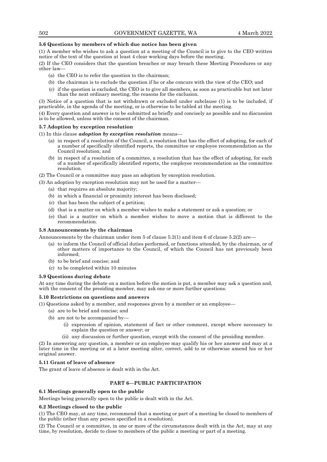# **5.6 Questions by members of which due notice has been given**

(1) A member who wishes to ask a question at a meeting of the Council is to give to the CEO written notice of the text of the question at least 4 clear working days before the meeting.

(2) If the CEO considers that the question breaches or may breach these Meeting Procedures or any other law—

- (a) the CEO is to refer the question to the chairman;
- (b) the chairman is to exclude the question if he or she concurs with the view of the CEO; and
- (c) if the question is excluded, the CEO is to give all members, as soon as practicable but not later than the next ordinary meeting, the reasons for the exclusion.

(3) Notice of a question that is not withdrawn or excluded under subclause (1) is to be included, if practicable, in the agenda of the meeting, or is otherwise to be tabled at the meeting.

(4) Every question and answer is to be submitted as briefly and concisely as possible and no discussion is to be allowed, unless with the consent of the chairman.

### **5.7 Adoption by exception resolution**

# (1) In this clause *adoption by exception resolution* means—

- (a) in respect of a resolution of the Council, a resolution that has the effect of adopting, for each of a number of specifically identified reports, the committee or employee recommendation as the Council resolution; and
- (b) in respect of a resolution of a committee, a resolution that has the effect of adopting, for each of a number of specifically identified reports, the employee recommendation as the committee resolution.

(2) The Council or a committee may pass an adoption by exception resolution.

(3) An adoption by exception resolution may not be used for a matter—

- (a) that requires an absolute majority;
- (b) in which a financial or proximity interest has been disclosed;
- (c) that has been the subject of a petition;
- (d) that is a matter on which a member wishes to make a statement or ask a question; or
- (e) that is a matter on which a member wishes to move a motion that is different to the recommendation.

#### **5.8 Announcements by the chairman**

Announcements by the chairman under item 5 of clause 5.2(1) and item 6 of clause 5.2(2) are—

- (a) to inform the Council of official duties performed, or functions attended, by the chairman, or of other matters of importance to the Council, of which the Council has not previously been informed;
- (b) to be brief and concise; and
- (c) to be completed within 10 minutes

#### **5.9 Questions during debate**

At any time during the debate on a motion before the motion is put, a member may ask a question and, with the consent of the presiding member, may ask one or more further questions.

# **5.10 Restrictions on questions and answers**

(1) Questions asked by a member, and responses given by a member or an employee—

- (a) are to be brief and concise; and
- (b) are not to be accompanied by—
	- (i) expression of opinion, statement of fact or other comment, except where necessary to explain the question or answer; or
	- (ii) any discussion or further question, except with the consent of the presiding member.

(2) In answering any question, a member or an employee may qualify his or her answer and may at a later time in the meeting or at a later meeting alter, correct, add to or otherwise amend his or her original answer.

#### **5.11 Grant of leave of absence**

The grant of leave of absence is dealt with in the Act.

# **PART 6—PUBLIC PARTICIPATION**

#### **6.1 Meetings generally open to the public**

Meetings being generally open to the public is dealt with in the Act.

#### **6.2 Meetings closed to the public**

(1) The CEO may, at any time, recommend that a meeting or part of a meeting be closed to members of the public (other than any person specified in a resolution).

(2) The Council or a committee, in one or more of the circumstances dealt with in the Act, may at any time, by resolution, decide to close to members of the public a meeting or part of a meeting.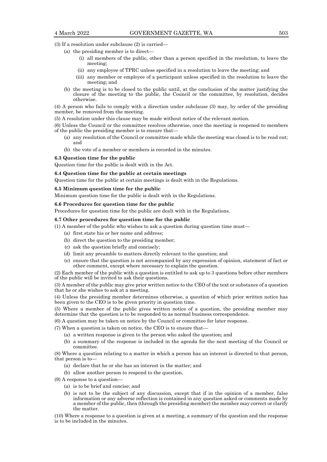(3) If a resolution under subclause (2) is carried—

- (a) the presiding member is to direct—
	- (i) all members of the public, other than a person specified in the resolution, to leave the meeting;
	- (ii) any employee of TPRC unless specified in a resolution to leave the meeting; and
	- (iii) any member or employee of a participant unless specified in the resolution to leave the meeting; and
- (b) the meeting is to be closed to the public until, at the conclusion of the matter justifying the closure of the meeting to the public, the Council or the committee, by resolution, decides otherwise.

(4) A person who fails to comply with a direction under subclause (3) may, by order of the presiding member, be removed from the meeting.

(5) A resolution under this clause may be made without notice of the relevant motion.

(6) Unless the Council or the committee resolves otherwise, once the meeting is reopened to members of the public the presiding member is to ensure that—

- (a) any resolution of the Council or committee made while the meeting was closed is to be read out; and
- (b) the vote of a member or members is recorded in the minutes.

#### **6.3 Question time for the public**

Question time for the public is dealt with in the Act.

#### **6.4 Question time for the public at certain meetings**

Question time for the public at certain meetings is dealt with in the Regulations.

#### **6.5 Minimum question time for the public**

Minimum question time for the public is dealt with in the Regulations.

#### **6.6 Procedures for question time for the public**

Procedures for question time for the public are dealt with in the Regulations.

#### **6.7 Other procedures for question time for the public**

(1) A member of the public who wishes to ask a question during question time must—

- (a) first state his or her name and address;
- (b) direct the question to the presiding member;
- (c) ask the question briefly and concisely;
- (d) limit any preamble to matters directly relevant to the question; and
- (e) ensure that the question is not accompanied by any expression of opinion, statement of fact or other comment, except where necessary to explain the question.

(2) Each member of the public with a question is entitled to ask up to 3 questions before other members of the public will be invited to ask their questions.

(3) A member of the public may give prior written notice to the CEO of the text or substance of a question that he or she wishes to ask at a meeting.

(4) Unless the presiding member determines otherwise, a question of which prior written notice has been given to the CEO is to be given priority in question time.

(5) Where a member of the public gives written notice of a question, the presiding member may determine that the question is to be responded to as normal business correspondence.

(6) A question may be taken on notice by the Council or committee for later response.

(7) When a question is taken on notice, the CEO is to ensure that—

- (a) a written response is given to the person who asked the question; and
- (b) a summary of the response is included in the agenda for the next meeting of the Council or committee.

(8) Where a question relating to a matter in which a person has an interest is directed to that person, that person is to—

- (a) declare that he or she has an interest in the matter; and
- (b) allow another person to respond to the question.

(9) A response to a question—

- (a) is to be brief and concise; and
- (b) is not to be the subject of any discussion, except that if in the opinion of a member, false information or any adverse reflection is contained in any question asked or comments made by a member of the public, then (through the presiding member) the member may correct or clarify the matter.

(10) Where a response to a question is given at a meeting, a summary of the question and the response is to be included in the minutes.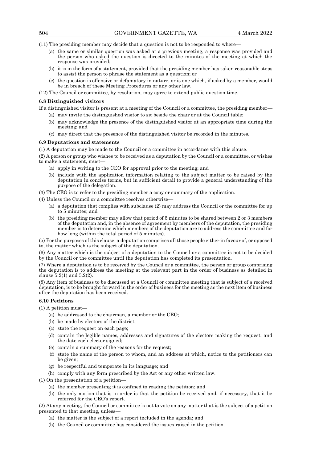(11) The presiding member may decide that a question is not to be responded to where—

- (a) the same or similar question was asked at a previous meeting, a response was provided and the person who asked the question is directed to the minutes of the meeting at which the response was provided;
- (b) it is in the form of a statement, provided that the presiding member has taken reasonable steps to assist the person to phrase the statement as a question; or
- (c) the question is offensive or defamatory in nature, or is one which, if asked by a member, would be in breach of these Meeting Procedures or any other law.
- (12) The Council or committee, by resolution, may agree to extend public question time.

#### **6.8 Distinguished visitors**

If a distinguished visitor is present at a meeting of the Council or a committee, the presiding member—

- (a) may invite the distinguished visitor to sit beside the chair or at the Council table;
- (b) may acknowledge the presence of the distinguished visitor at an appropriate time during the meeting; and
- (c) may direct that the presence of the distinguished visitor be recorded in the minutes.

#### **6.9 Deputations and statements**

(1) A deputation may be made to the Council or a committee in accordance with this clause.

(2) A person or group who wishes to be received as a deputation by the Council or a committee, or wishes to make a statement, must—

- (a) apply in writing to the CEO for approval prior to the meeting; and
- (b) include with the application information relating to the subject matter to be raised by the deputation in concise terms, but in sufficient detail to provide a general understanding of the purpose of the delegation.

(3) The CEO is to refer to the presiding member a copy or summary of the application.

(4) Unless the Council or a committee resolves otherwise—

- (a) a deputation that complies with subclause (2) may address the Council or the committee for up to 5 minutes; and
- (b) the presiding member may allow that period of 5 minutes to be shared between 2 or 3 members of the deputation and, in the absence of agreement by members of the deputation, the presiding member is to determine which members of the deputation are to address the committee and for how long (within the total period of 5 minutes).

(5) For the purposes of this clause, a deputation comprises all those people either in favour of, or opposed to, the matter which is the subject of the deputation.

(6) Any matter which is the subject of a deputation to the Council or a committee is not to be decided by the Council or the committee until the deputation has completed its presentation.

(7) Where a deputation is to be received by the Council or a committee, the person or group comprising the deputation is to address the meeting at the relevant part in the order of business as detailed in clause 5.2(1) and 5.2(2).

(8) Any item of business to be discussed at a Council or committee meeting that is subject of a received deputation, is to be brought forward in the order of business for the meeting as the next item of business after the deputation has been received.

#### **6.10 Petitions**

(1) A petition must—

- (a) be addressed to the chairman, a member or the CEO;
- (b) be made by electors of the district;
- (c) state the request on each page;
- (d) contain the legible names, addresses and signatures of the electors making the request, and the date each elector signed;
- (e) contain a summary of the reasons for the request;
- (f) state the name of the person to whom, and an address at which, notice to the petitioners can be given;
- (g) be respectful and temperate in its language; and
- (h) comply with any form prescribed by the Act or any other written law.

(1) On the presentation of a petition—

- (a) the member presenting it is confined to reading the petition; and
- (b) the only motion that is in order is that the petition be received and, if necessary, that it be referred for the CEO's report.

(2) At any meeting, the Council or committee is not to vote on any matter that is the subject of a petition presented to that meeting, unless—

- (a) the matter is the subject of a report included in the agenda; and
- (b) the Council or committee has considered the issues raised in the petition.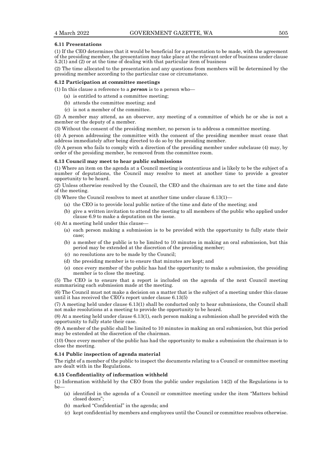#### **6.11 Presentations**

(1) If the CEO determines that it would be beneficial for a presentation to be made, with the agreement of the presiding member, the presentation may take place at the relevant order of business under clause 5.2(1) and (2) or at the time of dealing with that particular item of business

(2) The time allocated to the presentation and any questions from members will be determined by the presiding member according to the particular case or circumstance.

#### **6.12 Participation at committee meetings**

(1) In this clause a reference to a *person* is to a person who—

- (a) is entitled to attend a committee meeting;
- (b) attends the committee meeting; and
- (c) is not a member of the committee.

(2) A member may attend, as an observer, any meeting of a committee of which he or she is not a member or the deputy of a member.

(3) Without the consent of the presiding member, no person is to address a committee meeting.

(4) A person addressing the committee with the consent of the presiding member must cease that address immediately after being directed to do so by the presiding member.

(5) A person who fails to comply with a direction of the presiding member under subclause (4) may, by order of the presiding member, be removed from the committee room.

## **6.13 Council may meet to hear public submissions**

(1) Where an item on the agenda at a Council meeting is contentious and is likely to be the subject of a number of deputations, the Council may resolve to meet at another time to provide a greater opportunity to be heard.

(2) Unless otherwise resolved by the Council, the CEO and the chairman are to set the time and date of the meeting.

(3) Where the Council resolves to meet at another time under clause 6.13(1)—

- (a) the CEO is to provide local public notice of the time and date of the meeting; and
- (b) give a written invitation to attend the meeting to all members of the public who applied under clause 6.9 to make a deputation on the issue.

(4) At a meeting held under this clause—

- (a) each person making a submission is to be provided with the opportunity to fully state their case;
- (b) a member of the public is to be limited to 10 minutes in making an oral submission, but this period may be extended at the discretion of the presiding member;
- (c) no resolutions are to be made by the Council;
- (d) the presiding member is to ensure that minutes are kept; and
- (e) once every member of the public has had the opportunity to make a submission, the presiding member is to close the meeting.

(5) The CEO is to ensure that a report is included on the agenda of the next Council meeting summarising each submission made at the meeting.

(6) The Council must not make a decision on a matter that is the subject of a meeting under this clause until it has received the CEO's report under clause 6.13(5)

(7) A meeting held under clause 6.13(1) shall be conducted only to hear submissions, the Council shall not make resolutions at a meeting to provide the opportunity to be heard.

(8) At a meeting held under clause 6.13(1), each person making a submission shall be provided with the opportunity to fully state their case.

(9) A member of the public shall be limited to 10 minutes in making an oral submission, but this period may be extended at the discretion of the chairman.

(10) Once every member of the public has had the opportunity to make a submission the chairman is to close the meeting.

#### **6.14 Public inspection of agenda material**

The right of a member of the public to inspect the documents relating to a Council or committee meeting are dealt with in the Regulations.

# **6.15 Confidentiality of information withheld**

(1) Information withheld by the CEO from the public under regulation 14(2) of the Regulations is to be-

- (a) identified in the agenda of a Council or committee meeting under the item "Matters behind closed doors";
- (b) marked "Confidential" in the agenda; and
- (c) kept confidential by members and employees until the Council or committee resolves otherwise.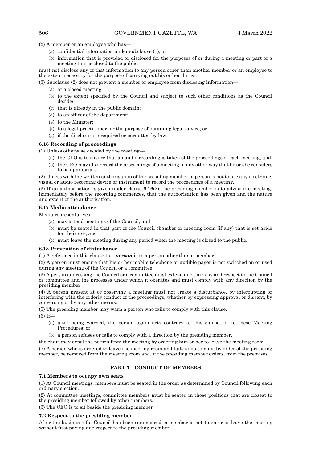(2) A member or an employee who has—

- (a) confidential information under subclause (1); or
- (b) information that is provided or disclosed for the purposes of or during a meeting or part of a meeting that is closed to the public,

must not disclose any of that information to any person other than another member or an employee to the extent necessary for the purpose of carrying out his or her duties.

(3) Subclause (2) does not prevent a member or employee from disclosing information—

- (a) at a closed meeting;
- (b) to the extent specified by the Council and subject to such other conditions as the Council decides;
- (c) that is already in the public domain;
- (d) to an officer of the department;
- (e) to the Minister;
- (f) to a legal practitioner for the purpose of obtaining legal advice; or
- (g) if the disclosure is required or permitted by law.

### **6.16 Recording of proceedings**

(1) Unless otherwise decided by the meeting—

- (a) the CEO is to ensure that an audio recording is taken of the proceedings of each meeting; and
- (b) the CEO may also record the proceedings of a meeting in any other way that he or she considers to be appropriate.

(2) Unless with the written authorisation of the presiding member, a person is not to use any electronic, visual or audio recording device or instrument to record the proceedings of a meeting.

(3) If an authorisation is given under clause 6.16(2), the presiding member is to advise the meeting, immediately before the recording commences, that the authorisation has been given and the nature and extent of the authorisation.

#### **6.17 Media attendance**

Media representatives

- (a) may attend meetings of the Council; and
- (b) must be seated in that part of the Council chamber or meeting room (if any) that is set aside for their use; and
- (c) must leave the meeting during any period when the meeting is closed to the public.

# **6.18 Prevention of disturbance**

(1) A reference in this clause to a *person* is to a person other than a member.

(2) A person must ensure that his or her mobile telephone or audible pager is not switched on or used during any meeting of the Council or a committee.

(3) A person addressing the Council or a committee must extend due courtesy and respect to the Council or committee and the processes under which it operates and must comply with any direction by the presiding member.

(4) A person present at or observing a meeting must not create a disturbance, by interrupting or interfering with the orderly conduct of the proceedings, whether by expressing approval or dissent, by conversing or by any other means.

(5) The presiding member may warn a person who fails to comply with this clause.

(6) If—

- (a) after being warned, the person again acts contrary to this clause, or to these Meeting Procedures; or
- (b) a person refuses or fails to comply with a direction by the presiding member,

the chair may expel the person from the meeting by ordering him or her to leave the meeting room.

(7) A person who is ordered to leave the meeting room and fails to do so may, by order of the presiding member, be removed from the meeting room and, if the presiding member orders, from the premises.

#### **PART 7—CONDUCT OF MEMBERS**

# **7.1 Members to occupy own seats**

(1) At Council meetings, members must be seated in the order as determined by Council following each ordinary election.

(2) At committee meetings, committee members must be seated in those positions that are closest to the presiding member followed by other members.

(3) The CEO is to sit beside the presiding member

#### **7.2 Respect to the presiding member**

After the business of a Council has been commenced, a member is not to enter or leave the meeting without first paying due respect to the presiding member.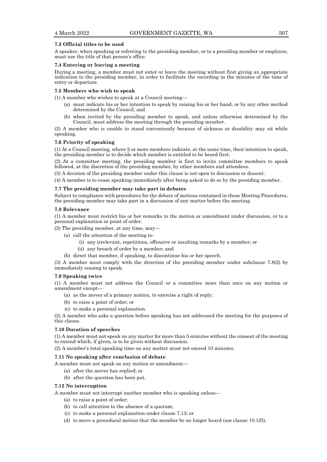# **7.3 Official titles to be used**

A speaker, when speaking or referring to the presiding member, or to a presiding member or employee, must use the title of that person's office.

# **7.4 Entering or leaving a meeting**

During a meeting, a member must not enter or leave the meeting without first giving an appropriate indication to the presiding member, in order to facilitate the recording in the minutes of the time of entry or departure.

#### **7.5 Members who wish to speak**

(1) A member who wishes to speak at a Council meeting—

- (a) must indicate his or her intention to speak by raising his or her hand, or by any other method determined by the Council; and
- (b) when invited by the presiding member to speak, and unless otherwise determined by the Council, must address the meeting through the presiding member.

(2) A member who is unable to stand conveniently because of sickness or disability may sit while speaking.

# **7.6 Priority of speaking**

(1) At a Council meeting, where 2 or more members indicate, at the same time, their intention to speak, the presiding member is to decide which member is entitled to be heard first.

(2) At a committee meeting, the presiding member is first to invite committee members to speak followed, at the discretion of the presiding member, by other members and attendees.

(3) A decision of the presiding member under this clause is not open to discussion or dissent.

(4) A member is to cease speaking immediately after being asked to do so by the presiding member.

### **7.7 The presiding member may take part in debates**

Subject to compliance with procedures for the debate of motions contained in these Meeting Procedures, the presiding member may take part in a discussion of any matter before the meeting.

## **7.8 Relevance**

(1) A member must restrict his or her remarks to the motion or amendment under discussion, or to a personal explanation or point of order.

(2) The presiding member, at any time, may—

- (a) call the attention of the meeting to-
	- (i) any irrelevant, repetitious, offensive or insulting remarks by a member; or
	- (ii) any breach of order by a member; and
- (b) direct that member, if speaking, to discontinue his or her speech.

(3) A member must comply with the direction of the presiding member under subclause 7.8(2) by immediately ceasing to speak.

#### **7.9 Speaking twice**

(1) A member must not address the Council or a committee more than once on any motion or amendment except—

- (a) as the mover of a primary motion, to exercise a right of reply;
- (b) to raise a point of order; or
- (c) to make a personal explanation.

(2) A member who asks a question before speaking has not addressed the meeting for the purposes of this clause.

#### **7.10 Duration of speeches**

(1) A member must not speak on any matter for more than 5 minutes without the consent of the meeting to extend which, if given, is to be given without discussion.

(2) A member's total speaking time on any matter must not exceed 10 minutes.

#### **7.11 No speaking after conclusion of debate**

- A member must not speak on any motion or amendment—
	- (a) after the mover has replied; or
	- (b) after the question has been put.

# **7.12 No interruption**

A member must not interrupt another member who is speaking unless—

- (a) to raise a point of order;
- (b) to call attention to the absence of a quorum;
- (c) to make a personal explanation under clause 7.13; or
- (d) to move a procedural motion that the member be no longer heard (see clause  $10.1(f)$ ).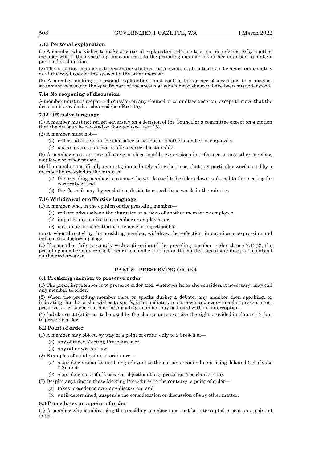# **7.13 Personal explanation**

(1) A member who wishes to make a personal explanation relating to a matter referred to by another member who is then speaking must indicate to the presiding member his or her intention to make a personal explanation.

(2) The presiding member is to determine whether the personal explanation is to be heard immediately or at the conclusion of the speech by the other member.

(3) A member making a personal explanation must confine his or her observations to a succinct statement relating to the specific part of the speech at which he or she may have been misunderstood.

#### **7.14 No reopening of discussion**

A member must not reopen a discussion on any Council or committee decision, except to move that the decision be revoked or changed (see Part 15).

#### **7.15 Offensive language**

(1) A member must not reflect adversely on a decision of the Council or a committee except on a motion that the decision be revoked or changed (see Part 15).

 $(2)$  A member must not-

- (a) reflect adversely on the character or actions of another member or employee;
- (b) use an expression that is offensive or objectionable

(3) A member must not use offensive or objectionable expressions in reference to any other member, employee or other person.

(4) If a member specifically requests, immediately after their use, that any particular words used by a member be recorded in the minutes-

- (a) the presiding member is to cause the words used to be taken down and read to the meeting for verification; and
- (b) the Council may, by resolution, decide to record those words in the minutes

# **7.16 Withdrawal of offensive language**

(1) A member who, in the opinion of the presiding member—

- (a) reflects adversely on the character or actions of another member or employee;
- (b) imputes any motive to a member or employee; or
- (c) uses an expression that is offensive or objectionable

must, when directed by the presiding member, withdraw the reflection, imputation or expression and make a satisfactory apology.

(2) If a member fails to comply with a direction of the presiding member under clause 7.15(2), the presiding member may refuse to hear the member further on the matter then under discussion and call on the next speaker.

# **PART 8—PRESERVING ORDER**

# **8.1 Presiding member to preserve order**

(1) The presiding member is to preserve order and, whenever he or she considers it necessary, may call any member to order.

(2) When the presiding member rises or speaks during a debate, any member then speaking, or indicating that he or she wishes to speak, is immediately to sit down and every member present must preserve strict silence so that the presiding member may be heard without interruption.

(3) Subclause 8.1(2) is not to be used by the chairman to exercise the right provided in clause 7.7, but to preserve order.

# **8.2 Point of order**

- (1) A member may object, by way of a point of order, only to a breach of—
	- (a) any of these Meeting Procedures; or
	- (b) any other written law.
- (2) Examples of valid points of order are—
	- (a) a speaker's remarks not being relevant to the motion or amendment being debated (see clause 7.8); and
	- (b) a speaker's use of offensive or objectionable expressions (see clause 7.15).
- (3) Despite anything in these Meeting Procedures to the contrary, a point of order—
	- (a) takes precedence over any discussion; and
	- (b) until determined, suspends the consideration or discussion of any other matter.

#### **8.3 Procedures on a point of order**

(1) A member who is addressing the presiding member must not be interrupted except on a point of order.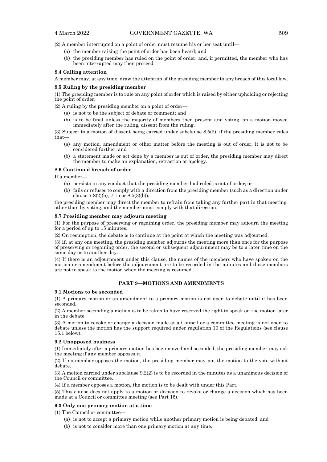(2) A member interrupted on a point of order must resume his or her seat until—

- (a) the member raising the point of order has been heard; and
- (b) the presiding member has ruled on the point of order, and, if permitted, the member who has been interrupted may then proceed.

#### **8.4 Calling attention**

A member may, at any time, draw the attention of the presiding member to any breach of this local law.

#### **8.5 Ruling by the presiding member**

(1) The presiding member is to rule on any point of order which is raised by either upholding or rejecting the point of order.

(2) A ruling by the presiding member on a point of order—

- (a) is not to be the subject of debate or comment; and
- (b) is to be final unless the majority of members then present and voting, on a motion moved immediately after the ruling, dissent from the ruling.

(3) Subject to a motion of dissent being carried under subclause 8.5(2), if the presiding member rules that—

- (a) any motion, amendment or other matter before the meeting is out of order, it is not to be considered further; and
- (b) a statement made or act done by a member is out of order, the presiding member may direct the member to make an explanation, retraction or apology.

#### **8.6 Continued breach of order**

If a member—

- (a) persists in any conduct that the presiding member had ruled is out of order; or
- (b) fails or refuses to comply with a direction from the presiding member (such as a direction under clause  $7.8(2)(b)$ ,  $7.15$  or  $8.5(3)(b)$ ),

the presiding member may direct the member to refrain from taking any further part in that meeting, other than by voting, and the member must comply with that direction.

#### **8.7 Presiding member may adjourn meeting**

(1) For the purpose of preserving or regaining order, the presiding member may adjourn the meeting for a period of up to 15 minutes.

(2) On resumption, the debate is to continue at the point at which the meeting was adjourned.

(3) If, at any one meeting, the presiding member adjourns the meeting more than once for the purpose of preserving or regaining order, the second or subsequent adjournment may be to a later time on the same day or to another day.

(4) If there is an adjournment under this clause, the names of the members who have spoken on the motion or amendment before the adjournment are to be recorded in the minutes and those members are not to speak to the motion when the meeting is resumed.

# **PART 9—MOTIONS AND AMENDMENTS**

#### **9.1 Motions to be seconded**

(1) A primary motion or an amendment to a primary motion is not open to debate until it has been seconded.

(2) A member seconding a motion is to be taken to have reserved the right to speak on the motion later in the debate.

(3) A motion to revoke or change a decision made at a Council or a committee meeting is not open to debate unless the motion has the support required under regulation 10 of the Regulations (see clause 15.1 below).

#### **9.2 Unopposed business**

(1) Immediately after a primary motion has been moved and seconded, the presiding member may ask the meeting if any member opposes it.

(2) If no member opposes the motion, the presiding member may put the motion to the vote without debate.

(3) A motion carried under subclause 9.2(2) is to be recorded in the minutes as a unanimous decision of the Council or committee.

(4) If a member opposes a motion, the motion is to be dealt with under this Part.

(5) This clause does not apply to a motion or decision to revoke or change a decision which has been made at a Council or committee meeting (see Part 15).

#### **9.3 Only one primary motion at a time**

(1) The Council or committee—

- (a) is not to accept a primary motion while another primary motion is being debated; and
- (b) is not to consider more than one primary motion at any time.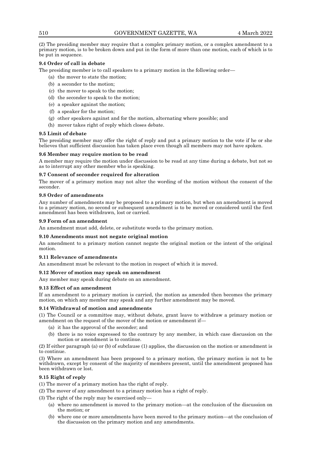(2) The presiding member may require that a complex primary motion, or a complex amendment to a primary motion, is to be broken down and put in the form of more than one motion, each of which is to be put in sequence.

# **9.4 Order of call in debate**

The presiding member is to call speakers to a primary motion in the following order—

- (a) the mover to state the motion;
- (b) a seconder to the motion;
- (c) the mover to speak to the motion;
- (d) the seconder to speak to the motion;
- (e) a speaker against the motion;
- (f) a speaker for the motion;
- (g) other speakers against and for the motion, alternating where possible; and
- (h) mover takes right of reply which closes debate.

# **9.5 Limit of debate**

The presiding member may offer the right of reply and put a primary motion to the vote if he or she believes that sufficient discussion has taken place even though all members may not have spoken.

### **9.6 Member may require motion to be read**

A member may require the motion under discussion to be read at any time during a debate, but not so as to interrupt any other member who is speaking.

### **9.7 Consent of seconder required for alteration**

The mover of a primary motion may not alter the wording of the motion without the consent of the seconder.

### **9.8 Order of amendments**

Any number of amendments may be proposed to a primary motion, but when an amendment is moved to a primary motion, no second or subsequent amendment is to be moved or considered until the first amendment has been withdrawn, lost or carried.

### **9.9 Form of an amendment**

An amendment must add, delete, or substitute words to the primary motion.

# **9.10 Amendments must not negate original motion**

An amendment to a primary motion cannot negate the original motion or the intent of the original motion.

#### **9.11 Relevance of amendments**

An amendment must be relevant to the motion in respect of which it is moved.

# **9.12 Mover of motion may speak on amendment**

Any member may speak during debate on an amendment.

# **9.13 Effect of an amendment**

If an amendment to a primary motion is carried, the motion as amended then becomes the primary motion, on which any member may speak and any further amendment may be moved.

# **9.14 Withdrawal of motion and amendments**

(1) The Council or a committee may, without debate, grant leave to withdraw a primary motion or amendment on the request of the mover of the motion or amendment if—

- (a) it has the approval of the seconder; and
- (b) there is no voice expressed to the contrary by any member, in which case discussion on the motion or amendment is to continue.

(2) If either paragraph (a) or (b) of subclause (1) applies, the discussion on the motion or amendment is to continue.

(3) Where an amendment has been proposed to a primary motion, the primary motion is not to be withdrawn, except by consent of the majority of members present, until the amendment proposed has been withdrawn or lost.

# **9.15 Right of reply**

- (1) The mover of a primary motion has the right of reply.
- (2) The mover of any amendment to a primary motion has a right of reply.

(3) The right of the reply may be exercised only—

- (a) where no amendment is moved to the primary motion—at the conclusion of the discussion on the motion; or
- (b) where one or more amendments have been moved to the primary motion—at the conclusion of the discussion on the primary motion and any amendments.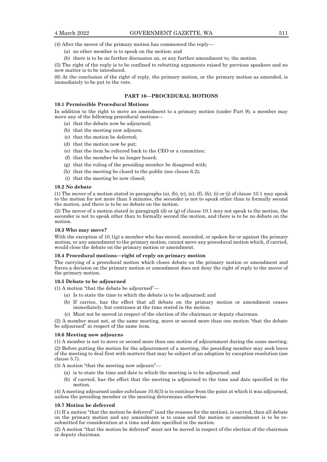(4) After the mover of the primary motion has commenced the reply—

- (a) no other member is to speak on the motion; and
- (b) there is to be no further discussion on, or any further amendment to, the motion.

(5) The right of the reply is to be confined to rebutting arguments raised by previous speakers and no new matter is to be introduced.

(6) At the conclusion of the right of reply, the primary motion, or the primary motion as amended, is immediately to be put to the vote.

# **PART 10—PROCEDURAL MOTIONS**

# **10.1 Permissible Procedural Motions**

In addition to the right to move an amendment to a primary motion (under Part 9), a member may move any of the following procedural motions—

- (a) that the debate now be adjourned;
- (b) that the meeting now adjourn;
- (c) that the motion be deferred;
- (d) that the motion now be put;
- (e) that the item be referred back to the CEO or a committee;
- (f) that the member be no longer heard;
- (g) that the ruling of the presiding member be disagreed with;
- (h) that the meeting be closed to the public (see clause 6.2);
- (i) that the meeting be now closed;

#### **10.2 No debate**

(1) The mover of a motion stated in paragraphs (a), (b), (c), (e), (f), (h), (i) or (j) of clause 10.1 may speak to the motion for not more than 5 minutes, the seconder is not to speak other than to formally second the motion, and there is to be no debate on the motion.

(2) The mover of a motion stated in paragraph (d) or (g) of clause 10.1 may not speak to the motion, the seconder is not to speak other than to formally second the motion, and there is to be no debate on the motion.

# **10.3 Who may move?**

With the exception of 10.1(g) a member who has moved, seconded, or spoken for or against the primary motion, or any amendment to the primary motion, cannot move any procedural motion which, if carried, would close the debate on the primary motion or amendment.

#### **10.4 Procedural motions—right of reply on primary motion**

The carrying of a procedural motion which closes debate on the primary motion or amendment and forces a decision on the primary motion or amendment does not deny the right of reply to the mover of the primary motion.

#### **10.5 Debate to be adjourned**

(1) A motion "that the debate be adjourned"—

- (a) Is to state the time to which the debate is to be adjourned; and
- (b) If carries, has the effect that all debate on the primary motion or amendment ceases immediately, but continues at the time stated in the motion.
- (c) Must not be moved in respect of the election of the chairman or deputy chairman.

(2) A member must not, at the same meeting, move or second more than one motion "that the debate be adjourned" in respect of the same item.

#### **10.6 Meeting now adjourns**

(1) A member is not to move or second more than one motion of adjournment during the same meeting. (2) Before putting the motion for the adjournment of a meeting, the presiding member may seek leave of the meeting to deal first with matters that may be subject of an adoption by exception resolution (see clause 5.7).

(3) A motion "that the meeting now adjourn"—

- (a) is to state the time and date to which the meeting is to be adjourned; and
- (b) if carried, has the effect that the meeting is adjourned to the time and date specified in the motion.

(4) A meeting adjourned under subclause 10.6(3) is to continue from the point at which it was adjourned, unless the presiding member or the meeting determines otherwise.

#### **10.7 Motion be deferred**

(1) If a motion "that the motion be deferred" (and the reasons for the motion), is carried, then all debate on the primary motion and any amendment is to cease and the motion or amendment is to be resubmitted for consideration at a time and date specified in the motion.

(2) A motion "that the motion be deferred" must not be moved in respect of the election of the chairman or deputy chairman.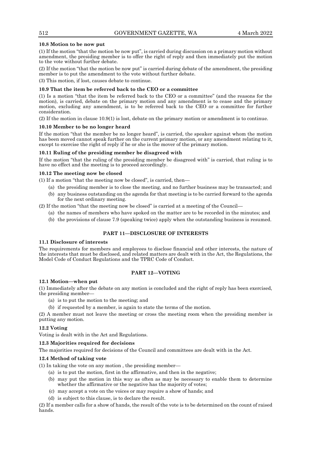### **10.8 Motion to be now put**

(1) If the motion "that the motion be now put", is carried during discussion on a primary motion without amendment, the presiding member is to offer the right of reply and then immediately put the motion to the vote without further debate.

(2) If the motion "that the motion be now put" is carried during debate of the amendment, the presiding member is to put the amendment to the vote without further debate.

(3) This motion, if lost, causes debate to continue.

# **10.9 That the item be referred back to the CEO or a committee**

(1) Is a motion "that the item be referred back to the CEO or a committee" (and the reasons for the motion), is carried, debate on the primary motion and any amendment is to cease and the primary motion, excluding any amendment, is to be referred back to the CEO or a committee for further consideration.

(2) If the motion in clause 10.9(1) is lost, debate on the primary motion or amendment is to continue.

### **10.10 Member to be no longer heard**

If the motion "that the member be no longer heard", is carried, the speaker against whom the motion has been moved cannot speak further on the current primary motion, or any amendment relating to it, except to exercise the right of reply if he or she is the mover of the primary motion.

### **10.11 Ruling of the presiding member be disagreed with**

If the motion "that the ruling of the presiding member be disagreed with" is carried, that ruling is to have no effect and the meeting is to proceed accordingly.

#### **10.12 The meeting now be closed**

(1) If a motion "that the meeting now be closed", is carried, then—

- (a) the presiding member is to close the meeting, and no further business may be transacted; and (b) any business outstanding on the agenda for that meeting is to be carried forward to the agenda
- for the next ordinary meeting.

(2) If the motion "that the meeting now be closed" is carried at a meeting of the Council—

- (a) the names of members who have spoked on the matter are to be recorded in the minutes; and
- (b) the provisions of clause 7.9 (speaking twice) apply when the outstanding business is resumed.

# **PART 11—DISCLOSURE OF INTERESTS**

#### **11.1 Disclosure of interests**

The requirements for members and employees to disclose financial and other interests, the nature of the interests that must be disclosed, and related matters are dealt with in the Act, the Regulations, the Model Code of Conduct Regulations and the TPRC Code of Conduct.

# **PART 12—VOTING**

#### **12.1 Motion—when put**

(1) Immediately after the debate on any motion is concluded and the right of reply has been exercised, the presiding member—

- (a) is to put the motion to the meeting; and
- (b) if requested by a member, is again to state the terms of the motion.

(2) A member must not leave the meeting or cross the meeting room when the presiding member is putting any motion.

# **12.2 Voting**

Voting is dealt with in the Act and Regulations.

#### **12.3 Majorities required for decisions**

The majorities required for decisions of the Council and committees are dealt with in the Act.

#### **12.4 Method of taking vote**

(1) In taking the vote on any motion , the presiding member—

- (a) is to put the motion, first in the affirmative, and then in the negative;
- (b) may put the motion in this way as often as may be necessary to enable them to determine whether the affirmative or the negative has the majority of votes;
- (c) may accept a vote on the voices or may require a show of hands; and
- (d) is subject to this clause, is to declare the result.

(2) If a member calls for a show of hands, the result of the vote is to be determined on the count of raised hands.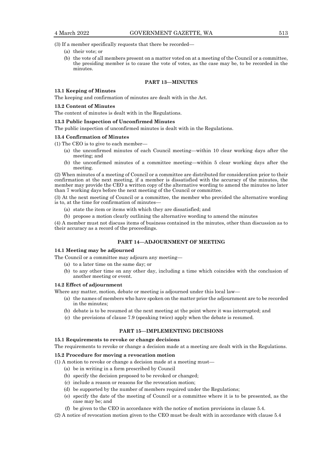(3) If a member specifically requests that there be recorded—

- (a) their vote; or
- (b) the vote of all members present on a matter voted on at a meeting of the Council or a committee, the presiding member is to cause the vote of votes, as the case may be, to be recorded in the minutes.

# **PART 13—MINUTES**

#### **13.1 Keeping of Minutes**

The keeping and confirmation of minutes are dealt with in the Act.

# **13.2 Content of Minutes**

The content of minutes is dealt with in the Regulations.

#### **13.3 Public Inspection of Unconfirmed Minutes**

The public inspection of unconfirmed minutes is dealt with in the Regulations.

### **13.4 Confirmation of Minutes**

(1) The CEO is to give to each member—

- (a) the unconfirmed minutes of each Council meeting—within 10 clear working days after the meeting; and
- (b) the unconfirmed minutes of a committee meeting—within 5 clear working days after the meeting.

(2) When minutes of a meeting of Council or a committee are distributed for consideration prior to their confirmation at the next meeting, if a member is dissatisfied with the accuracy of the minutes, the member may provide the CEO a written copy of the alternative wording to amend the minutes no later than 7 working days before the next meeting of the Council or committee.

(3) At the next meeting of Council or a committee, the member who provided the alternative wording is to, at the time for confirmation of minutes

- (a) state the item or items with which they are dissatisfied; and
- (b) propose a motion clearly outlining the alternative wording to amend the minutes

(4) A member must not discuss items of business contained in the minutes, other than discussion as to their accuracy as a record of the proceedings.

# **PART 14—ADJOURNMENT OF MEETING**

#### **14.1 Meeting may be adjourned**

The Council or a committee may adjourn any meeting—

- (a) to a later time on the same day; or
- (b) to any other time on any other day, including a time which coincides with the conclusion of another meeting or event.

#### **14.2 Effect of adjournment**

Where any matter, motion, debate or meeting is adjourned under this local law—

- (a) the names of members who have spoken on the matter prior the adjournment are to be recorded in the minutes;
- (b) debate is to be resumed at the next meeting at the point where it was interrupted; and
- (c) the provisions of clause 7.9 (speaking twice) apply when the debate is resumed.

# **PART 15—IMPLEMENTING DECISIONS**

#### **15.1 Requirements to revoke or change decisions**

The requirements to revoke or change a decision made at a meeting are dealt with in the Regulations.

## **15.2 Procedure for moving a revocation motion**

- (1) A motion to revoke or change a decision made at a meeting must—
	- (a) be in writing in a form prescribed by Council
	- (b) specify the decision proposed to be revoked or changed;
	- (c) include a reason or reasons for the revocation motion;
	- (d) be supported by the number of members required under the Regulations;
	- (e) specify the date of the meeting of Council or a committee where it is to be presented, as the case may be; and
	- (f) be given to the CEO in accordance with the notice of motion provisions in clause 5.4.
- (2) A notice of revocation motion given to the CEO must be dealt with in accordance with clause 5.4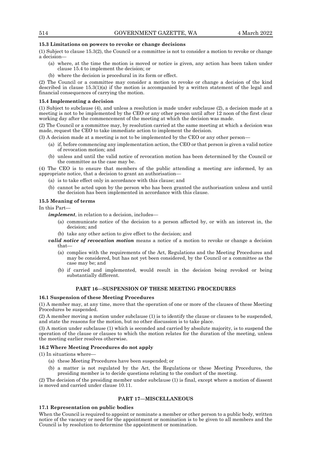# **15.3 Limitations on powers to revoke or change decisions**

(1) Subject to clause 15.3(2), the Council or a committee is not to consider a motion to revoke or change a decision—

- (a) where, at the time the motion is moved or notice is given, any action has been taken under clause 15.4 to implement the decision; or
- (b) where the decision is procedural in its form or effect.

(2) The Council or a committee may consider a motion to revoke or change a decision of the kind described in clause  $15.3(1)(a)$  if the motion is accompanied by a written statement of the legal and financial consequences of carrying the motion.

#### **15.4 Implementing a decision**

(1) Subject to subclause (4), and unless a resolution is made under subclause (2), a decision made at a meeting is not to be implemented by the CEO or any other person until after 12 noon of the first clear working day after the commencement of the meeting at which the decision was made.

(2) The Council or a committee may, by resolution carried at the same meeting at which a decision was made, request the CEO to take immediate action to implement the decision.

(3) A decision made at a meeting is not to be implemented by the CEO or any other person—

- (a) if, before commencing any implementation action, the CEO or that person is given a valid notice of revocation motion; and
- (b) unless and until the valid notice of revocation motion has been determined by the Council or the committee as the case may be.

(4) The CEO is to ensure that members of the public attending a meeting are informed, by an appropriate notice, that a decision to grant an authorisation—

- (a) is to take effect only in accordance with this clause; and
- (b) cannot be acted upon by the person who has been granted the authorisation unless and until the decision has been implemented in accordance with this clause.

#### **15.5 Meaning of terms**

In this Part—

*implement*, in relation to a decision, includes—

- (a) communicate notice of the decision to a person affected by, or with an interest in, the decision; and
- (b) take any other action to give effect to the decision; and
- *valid notice of revocation motion* means a notice of a motion to revoke or change a decision that—
	- (a) complies with the requirements of the Act, Regulations and the Meeting Procedures and may be considered, but has not yet been considered, by the Council or a committee as the case may be; and
	- (b) if carried and implemented, would result in the decision being revoked or being substantially different.

# **PART 16—SUSPENSION OF THESE MEETING PROCEDURES**

# **16.1 Suspension of these Meeting Procedures**

(1) A member may, at any time, move that the operation of one or more of the clauses of these Meeting Procedures be suspended.

(2) A member moving a motion under subclause (1) is to identify the clause or clauses to be suspended, and state the reasons for the motion, but no other discussion is to take place.

(3) A motion under subclause (1) which is seconded and carried by absolute majority, is to suspend the operation of the clause or clauses to which the motion relates for the duration of the meeting, unless the meeting earlier resolves otherwise.

#### **16.2 Where Meeting Procedures do not apply**

(1) In situations where—

- (a) these Meeting Procedures have been suspended; or
- (b) a matter is not regulated by the Act, the Regulations or these Meeting Procedures, the presiding member is to decide questions relating to the conduct of the meeting.

(2) The decision of the presiding member under subclause (1) is final, except where a motion of dissent is moved and carried under clause 10.11.

# **PART 17—MISCELLANEOUS**

#### **17.1 Representation on public bodies**

When the Council is required to appoint or nominate a member or other person to a public body, written notice of the vacancy or need for the appointment or nomination is to be given to all members and the Council is by resolution to determine the appointment or nomination.